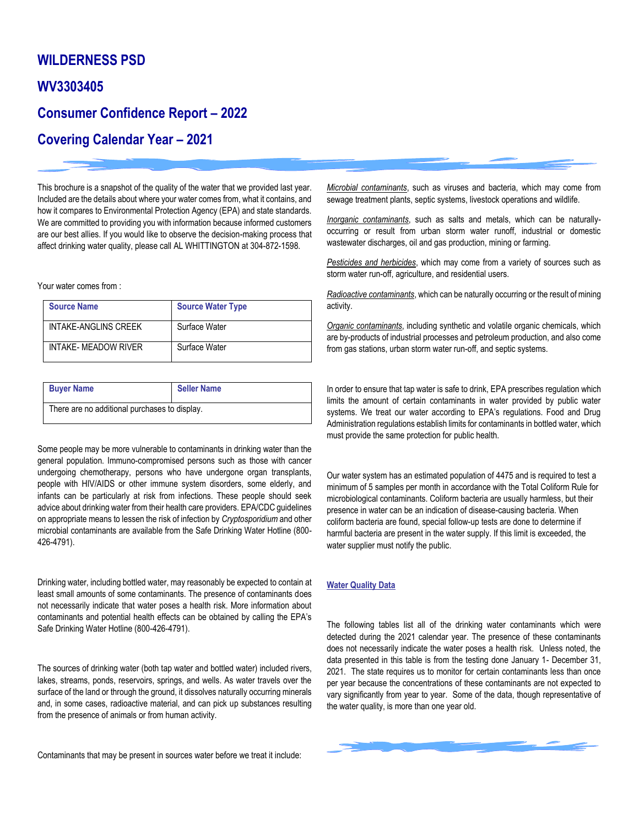## **WILDERNESS PSD**

### **WV3303405**

# **Consumer Confidence Report – 2022**

# **Covering Calendar Year – 2021**

This brochure is a snapshot of the quality of the water that we provided last year. Included are the details about where your water comes from, what it contains, and how it compares to Environmental Protection Agency (EPA) and state standards. We are committed to providing you with information because informed customers are our best allies. If you would like to observe the decision-making process that affect drinking water quality, please call AL WHITTINGTON at 304-872-1598.

Your water comes from :

| <b>Source Name</b>   | <b>Source Water Type</b> |
|----------------------|--------------------------|
| INTAKE-ANGLINS CREEK | Surface Water            |
| INTAKE- MEADOW RIVER | Surface Water            |

| <b>Buyer Name</b>                             | <b>Seller Name</b> |  |  |  |
|-----------------------------------------------|--------------------|--|--|--|
| There are no additional purchases to display. |                    |  |  |  |

Some people may be more vulnerable to contaminants in drinking water than the general population. Immuno-compromised persons such as those with cancer undergoing chemotherapy, persons who have undergone organ transplants, people with HIV/AIDS or other immune system disorders, some elderly, and infants can be particularly at risk from infections. These people should seek advice about drinking water from their health care providers. EPA/CDC guidelines on appropriate means to lessen the risk of infection by *Cryptosporidium* and other microbial contaminants are available from the Safe Drinking Water Hotline (800- 426-4791).

Drinking water, including bottled water, may reasonably be expected to contain at least small amounts of some contaminants. The presence of contaminants does not necessarily indicate that water poses a health risk. More information about contaminants and potential health effects can be obtained by calling the EPA's Safe Drinking Water Hotline (800-426-4791).

The sources of drinking water (both tap water and bottled water) included rivers, lakes, streams, ponds, reservoirs, springs, and wells. As water travels over the surface of the land or through the ground, it dissolves naturally occurring minerals and, in some cases, radioactive material, and can pick up substances resulting from the presence of animals or from human activity.

Contaminants that may be present in sources water before we treat it include:

*Microbial contaminants*, such as viruses and bacteria, which may come from sewage treatment plants, septic systems, livestock operations and wildlife.

*Inorganic contaminants*, such as salts and metals, which can be naturallyoccurring or result from urban storm water runoff, industrial or domestic wastewater discharges, oil and gas production, mining or farming.

*Pesticides and herbicides*, which may come from a variety of sources such as storm water run-off, agriculture, and residential users.

*Radioactive contaminants*, which can be naturally occurring or the result of mining activity.

*Organic contaminants*, including synthetic and volatile organic chemicals, which are by-products of industrial processes and petroleum production, and also come from gas stations, urban storm water run-off, and septic systems.

In order to ensure that tap water is safe to drink, EPA prescribes regulation which limits the amount of certain contaminants in water provided by public water systems. We treat our water according to EPA's regulations. Food and Drug Administration regulations establish limits for contaminants in bottled water, which must provide the same protection for public health.

Our water system has an estimated population of 4475 and is required to test a minimum of 5 samples per month in accordance with the Total Coliform Rule for microbiological contaminants. Coliform bacteria are usually harmless, but their presence in water can be an indication of disease-causing bacteria. When coliform bacteria are found, special follow-up tests are done to determine if harmful bacteria are present in the water supply. If this limit is exceeded, the water supplier must notify the public.

### **Water Quality Data**

The following tables list all of the drinking water contaminants which were detected during the 2021 calendar year. The presence of these contaminants does not necessarily indicate the water poses a health risk. Unless noted, the data presented in this table is from the testing done January 1- December 31, 2021. The state requires us to monitor for certain contaminants less than once per year because the concentrations of these contaminants are not expected to vary significantly from year to year. Some of the data, though representative of the water quality, is more than one year old.

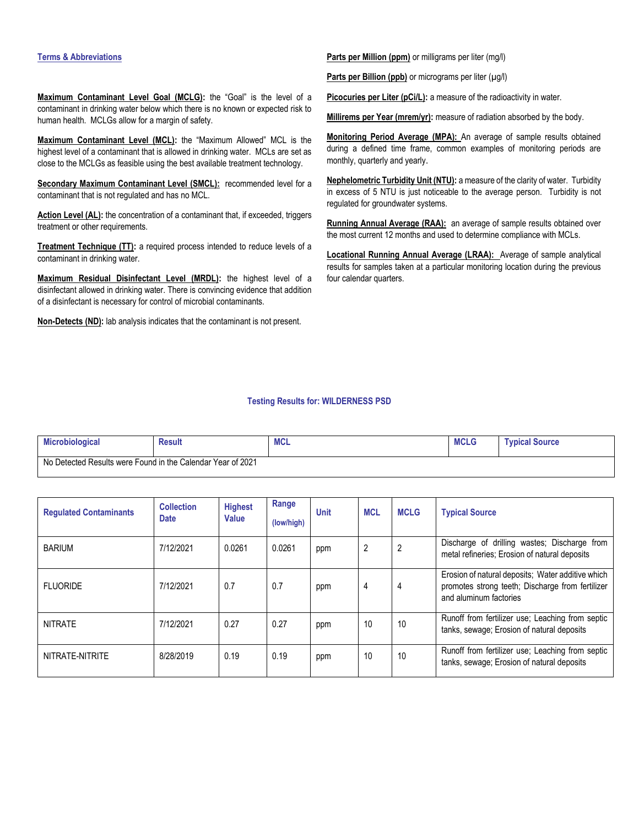#### **Terms & Abbreviations**

**Maximum Contaminant Level Goal (MCLG):** the "Goal" is the level of a contaminant in drinking water below which there is no known or expected risk to human health. MCLGs allow for a margin of safety.

**Maximum Contaminant Level (MCL):** the "Maximum Allowed" MCL is the highest level of a contaminant that is allowed in drinking water. MCLs are set as close to the MCLGs as feasible using the best available treatment technology.

**Secondary Maximum Contaminant Level (SMCL):** recommended level for a contaminant that is not regulated and has no MCL.

Action Level (AL): the concentration of a contaminant that, if exceeded, triggers treatment or other requirements.

**Treatment Technique (TT):** a required process intended to reduce levels of a contaminant in drinking water.

**Maximum Residual Disinfectant Level (MRDL):** the highest level of a disinfectant allowed in drinking water. There is convincing evidence that addition of a disinfectant is necessary for control of microbial contaminants.

**Non-Detects (ND):** lab analysis indicates that the contaminant is not present.

**Parts per Million (ppm)** or milligrams per liter (mg/l)

Parts per Billion (ppb) or micrograms per liter (µg/l)

Picocuries per Liter (pCi/L): a measure of the radioactivity in water.

Millirems per Year (mrem/yr): measure of radiation absorbed by the body.

**Monitoring Period Average (MPA):** An average of sample results obtained during a defined time frame, common examples of monitoring periods are monthly, quarterly and yearly.

**Nephelometric Turbidity Unit (NTU):** a measure of the clarity of water. Turbidity in excess of 5 NTU is just noticeable to the average person. Turbidity is not regulated for groundwater systems.

**Running Annual Average (RAA):** an average of sample results obtained over the most current 12 months and used to determine compliance with MCLs.

**Locational Running Annual Average (LRAA):** Average of sample analytical results for samples taken at a particular monitoring location during the previous four calendar quarters.

### **Testing Results for: WILDERNESS PSD**

| <b>Microbiological</b>                                      | <b>Result</b> | <b>MCL</b> | <b>MCLG</b> | <b>Typical Source</b> |
|-------------------------------------------------------------|---------------|------------|-------------|-----------------------|
| No Detected Results were Found in the Calendar Year of 2021 |               |            |             |                       |

| <b>Regulated Contaminants</b> | <b>Collection</b><br><b>Date</b> | <b>Highest</b><br>Value | Range<br>(low/high) | <b>Unit</b> | <b>MCL</b>     | <b>MCLG</b>    | <b>Typical Source</b>                                                                                                           |
|-------------------------------|----------------------------------|-------------------------|---------------------|-------------|----------------|----------------|---------------------------------------------------------------------------------------------------------------------------------|
| <b>BARIUM</b>                 | 7/12/2021                        | 0.0261                  | 0.0261              | ppm         | $\overline{2}$ | $\overline{2}$ | Discharge of drilling wastes; Discharge from<br>metal refineries; Erosion of natural deposits                                   |
| <b>FLUORIDE</b>               | 7/12/2021                        | 0.7                     | 0.7                 | ppm         | 4              | 4              | Erosion of natural deposits; Water additive which<br>promotes strong teeth; Discharge from fertilizer<br>and aluminum factories |
| <b>NITRATE</b>                | 7/12/2021                        | 0.27                    | 0.27                | ppm         | 10             | 10             | Runoff from fertilizer use; Leaching from septic<br>tanks, sewage; Erosion of natural deposits                                  |
| NITRATE-NITRITE               | 8/28/2019                        | 0.19                    | 0.19                | ppm         | 10             | 10             | Runoff from fertilizer use: Leaching from septic<br>tanks, sewage; Erosion of natural deposits                                  |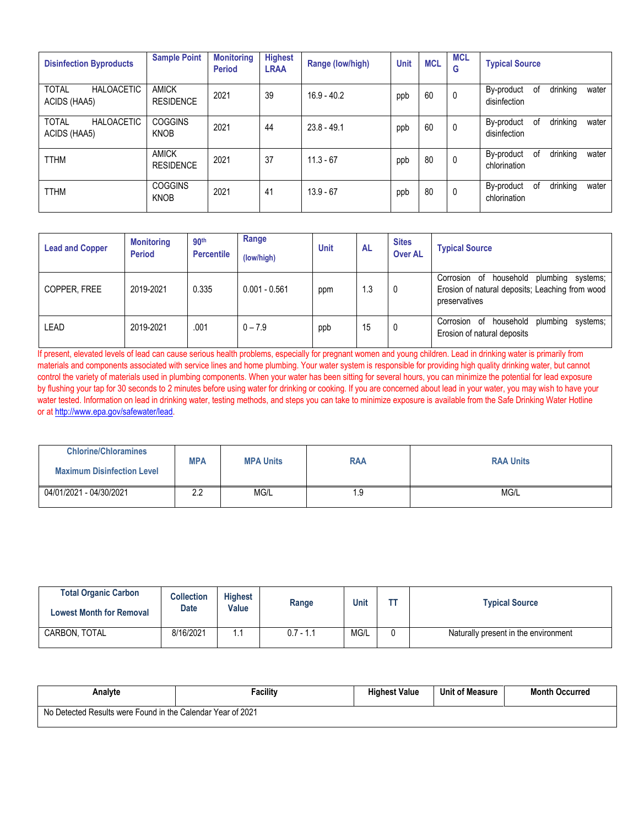| <b>Disinfection Byproducts</b>                    | <b>Sample Point</b>              | <b>Monitoring</b><br><b>Period</b> | <b>Highest</b><br><b>LRAA</b> | Range (low/high) | <b>Unit</b> | <b>MCL</b> | <b>MCL</b><br>G | <b>Typical Source</b>                                 |
|---------------------------------------------------|----------------------------------|------------------------------------|-------------------------------|------------------|-------------|------------|-----------------|-------------------------------------------------------|
| <b>TOTAL</b><br><b>HALOACETIC</b><br>ACIDS (HAA5) | AMICK<br><b>RESIDENCE</b>        | 2021                               | 39                            | $16.9 - 40.2$    | ppb         | 60         | 0               | drinking<br>By-product<br>0f<br>water<br>disinfection |
| <b>TOTAL</b><br><b>HALOACETIC</b><br>ACIDS (HAA5) | <b>COGGINS</b><br><b>KNOB</b>    | 2021                               | 44                            | $23.8 - 49.1$    | ppb         | 60         | 0               | drinking<br>By-product<br>οf<br>water<br>disinfection |
| <b>TTHM</b>                                       | <b>AMICK</b><br><b>RESIDENCE</b> | 2021                               | 37                            | $11.3 - 67$      | ppb         | 80         | 0               | drinking<br>0f<br>By-product<br>water<br>chlorination |
| <b>TTHM</b>                                       | <b>COGGINS</b><br><b>KNOB</b>    | 2021                               | 41                            | $13.9 - 67$      | ppb         | 80         | $\mathbf 0$     | drinking<br>By-product<br>0f<br>water<br>chlorination |

| <b>Lead and Copper</b> | <b>Monitoring</b><br><b>Period</b> | 90 <sup>th</sup><br><b>Percentile</b> | Range<br>(low/high) | <b>Unit</b> | AL  | <b>Sites</b><br><b>Over AL</b> | <b>Typical Source</b>                                                                                              |
|------------------------|------------------------------------|---------------------------------------|---------------------|-------------|-----|--------------------------------|--------------------------------------------------------------------------------------------------------------------|
| COPPER, FREE           | 2019-2021                          | 0.335                                 | $0.001 - 0.561$     | ppm         | 1.3 | 0                              | household<br>plumbing systems;<br>Corrosion of<br>Erosion of natural deposits; Leaching from wood<br>preservatives |
| LEAD                   | 2019-2021                          | .001                                  | $0 - 7.9$           | ppb         | 15  | 0                              | household<br>plumbing systems;<br>Corrosion of<br>Erosion of natural deposits                                      |

If present, elevated levels of lead can cause serious health problems, especially for pregnant women and young children. Lead in drinking water is primarily from materials and components associated with service lines and home plumbing. Your water system is responsible for providing high quality drinking water, but cannot control the variety of materials used in plumbing components. When your water has been sitting for several hours, you can minimize the potential for lead exposure by flushing your tap for 30 seconds to 2 minutes before using water for drinking or cooking. If you are concerned about lead in your water, you may wish to have your water tested. Information on lead in drinking water, testing methods, and steps you can take to minimize exposure is available from the Safe Drinking Water Hotline or at [http://www.epa.gov/safewater/lead.](http://www.epa.gov/safewater/lead)

| <b>Chlorine/Chloramines</b>       | <b>MPA</b> |                  |     |                  |
|-----------------------------------|------------|------------------|-----|------------------|
| <b>Maximum Disinfection Level</b> |            | <b>MPA Units</b> | RAA | <b>RAA Units</b> |
| 04/01/2021 - 04/30/2021           | n n<br>ے.ء | MG/L             | . 9 | MG/L             |

| <b>Total Organic Carbon</b><br><b>Lowest Month for Removal</b> | <b>Collection</b><br>Date | <b>Highest</b><br>Value | Range       | <b>Unit</b> | 77 | <b>Typical Source</b>                |
|----------------------------------------------------------------|---------------------------|-------------------------|-------------|-------------|----|--------------------------------------|
| CARBON, TOTAL                                                  | 8/16/2021                 | . .                     | $0.7 - 1.1$ | MG/L        |    | Naturally present in the environment |

| Analvte                                                     | Facility | <b>Highest Value</b> | <b>Unit of Measure</b> | <b>Month Occurred</b> |
|-------------------------------------------------------------|----------|----------------------|------------------------|-----------------------|
| No Detected Results were Found in the Calendar Year of 2021 |          |                      |                        |                       |